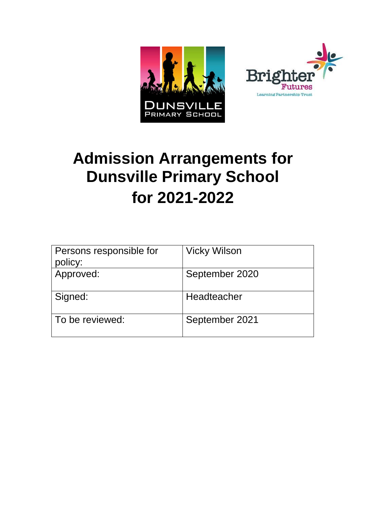



# **Admission Arrangements for Dunsville Primary School for 2021-2022**

| Persons responsible for<br>policy: | <b>Vicky Wilson</b> |
|------------------------------------|---------------------|
| Approved:                          | September 2020      |
| Signed:                            | Headteacher         |
| To be reviewed:                    | September 2021      |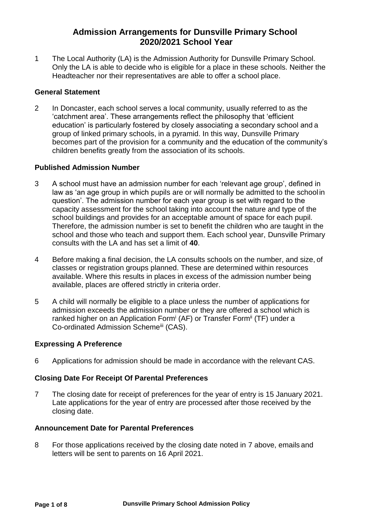## **Admission Arrangements for Dunsville Primary School 2020/2021 School Year**

1 The Local Authority (LA) is the Admission Authority for Dunsville Primary School. Only the LA is able to decide who is eligible for a place in these schools. Neither the Headteacher nor their representatives are able to offer a school place.

#### **General Statement**

2 In Doncaster, each school serves a local community, usually referred to as the 'catchment area'. These arrangements reflect the philosophy that 'efficient education' is particularly fostered by closely associating a secondary school and a group of linked primary schools, in a pyramid. In this way, Dunsville Primary becomes part of the provision for a community and the education of the community's children benefits greatly from the association of its schools.

#### **Published Admission Number**

- 3 A school must have an admission number for each 'relevant age group', defined in law as 'an age group in which pupils are or will normally be admitted to the school in question'. The admission number for each year group is set with regard to the capacity assessment for the school taking into account the nature and type of the school buildings and provides for an acceptable amount of space for each pupil. Therefore, the admission number is set to benefit the children who are taught in the school and those who teach and support them. Each school year, Dunsville Primary consults with the LA and has set a limit of **40**.
- 4 Before making a final decision, the LA consults schools on the number, and size, of classes or registration groups planned. These are determined within resources available. Where this results in places in excess of the admission number being available, places are offered strictly in criteria order.
- 5 A child will normally be eligible to a place unless the number of applications for admission exceeds the admission number or they are offered a school which is ranked higher on an Application Form<sup>i</sup> (AF) or Transfer Form<sup>ii</sup> (TF) under a Co-ordinated Admission Schemeiii (CAS).

#### **Expressing A Preference**

6 Applications for admission should be made in accordance with the relevant CAS.

#### **Closing Date For Receipt Of Parental Preferences**

7 The closing date for receipt of preferences for the year of entry is 15 January 2021. Late applications for the year of entry are processed after those received by the closing date.

#### **Announcement Date for Parental Preferences**

8 For those applications received by the closing date noted in 7 above, emails and letters will be sent to parents on 16 April 2021.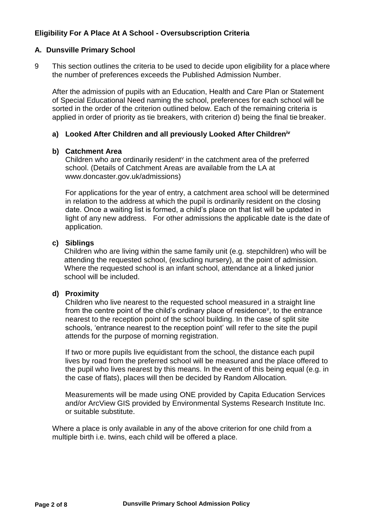## **Eligibility For A Place At A School - Oversubscription Criteria**

#### **A. Dunsville Primary School**

9 This section outlines the criteria to be used to decide upon eligibility for a place where the number of preferences exceeds the Published Admission Number.

After the admission of pupils with an Education, Health and Care Plan or Statement of Special Educational Need naming the school, preferences for each school will be sorted in the order of the criterion outlined below. Each of the remaining criteria is applied in order of priority as tie breakers, with criterion d) being the final tie breaker.

#### **a) Looked After Children and all previously Looked After Childreniv**

#### **b) Catchment Area**

Children who are ordinarily resident $v$  in the catchment area of the preferred school. (Details of Catchment Areas are available from the LA at [www.doncaster.gov.uk/admissions\)](http://www.doncaster.gov.uk/admissions))

For applications for the year of entry, a catchment area school will be determined in relation to the address at which the pupil is ordinarily resident on the closing date. Once a waiting list is formed, a child's place on that list will be updated in light of any new address. For other admissions the applicable date is the date of application.

#### **c) Siblings**

Children who are living within the same family unit (e.g. stepchildren) who will be attending the requested school, (excluding nursery), at the point of admission. Where the requested school is an infant school, attendance at a linked junior school will be included.

#### **d) Proximity**

Children who live nearest to the requested school measured in a straight line from the centre point of the child's ordinary place of residence<sup>v</sup>, to the entrance nearest to the reception point of the school building. In the case of split site schools, 'entrance nearest to the reception point' will refer to the site the pupil attends for the purpose of morning registration.

If two or more pupils live equidistant from the school, the distance each pupil lives by road from the preferred school will be measured and the place offered to the pupil who lives nearest by this means. In the event of this being equal (e.g. in the case of flats), places will then be decided by Random Allocation*.*

Measurements will be made using ONE provided by Capita Education Services and/or ArcView GIS provided by Environmental Systems Research Institute Inc. or suitable substitute.

Where a place is only available in any of the above criterion for one child from a multiple birth i.e. twins, each child will be offered a place.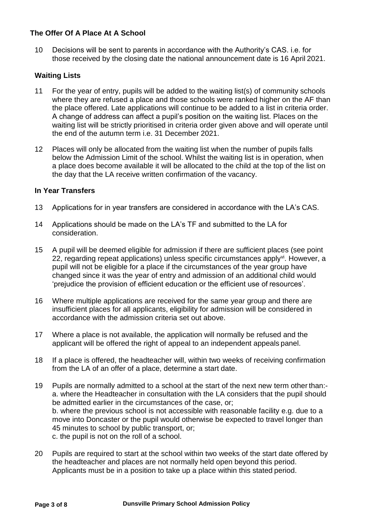#### **The Offer Of A Place At A School**

10 Decisions will be sent to parents in accordance with the Authority's CAS. i.e. for those received by the closing date the national announcement date is 16 April 2021.

#### **Waiting Lists**

- 11 For the year of entry, pupils will be added to the waiting list(s) of community schools where they are refused a place and those schools were ranked higher on the AF than the place offered. Late applications will continue to be added to a list in criteria order. A change of address can affect a pupil's position on the waiting list. Places on the waiting list will be strictly prioritised in criteria order given above and will operate until the end of the autumn term i.e. 31 December 2021.
- 12 Places will only be allocated from the waiting list when the number of pupils falls below the Admission Limit of the school. Whilst the waiting list is in operation, when a place does become available it will be allocated to the child at the top of the list on the day that the LA receive written confirmation of the vacancy.

#### **In Year Transfers**

- 13 Applications for in year transfers are considered in accordance with the LA's CAS.
- 14 Applications should be made on the LA's TF and submitted to the LA for consideration.
- 15 A pupil will be deemed eligible for admission if there are sufficient places (see point 22, regarding repeat applications) unless specific circumstances apply<sup>vi</sup>. However, a pupil will not be eligible for a place if the circumstances of the year group have changed since it was the year of entry and admission of an additional child would 'prejudice the provision of efficient education or the efficient use of resources'.
- 16 Where multiple applications are received for the same year group and there are insufficient places for all applicants, eligibility for admission will be considered in accordance with the admission criteria set out above.
- 17 Where a place is not available, the application will normally be refused and the applicant will be offered the right of appeal to an independent appeals panel.
- 18 If a place is offered, the headteacher will, within two weeks of receiving confirmation from the LA of an offer of a place, determine a start date.
- 19 Pupils are normally admitted to a school at the start of the next new term other than: a. where the Headteacher in consultation with the LA considers that the pupil should be admitted earlier in the circumstances of the case, or; b. where the previous school is not accessible with reasonable facility e.g. due to a move into Doncaster or the pupil would otherwise be expected to travel longer than 45 minutes to school by public transport, or; c. the pupil is not on the roll of a school.
- 20 Pupils are required to start at the school within two weeks of the start date offered by the headteacher and places are not normally held open beyond this period. Applicants must be in a position to take up a place within this stated period.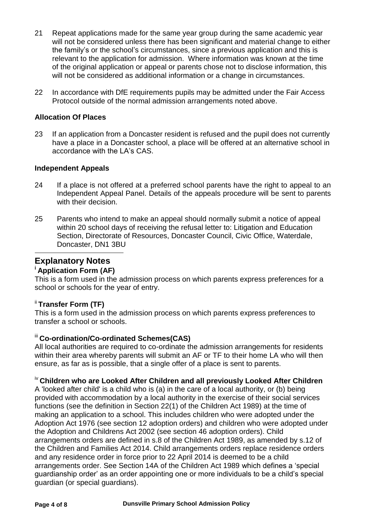- 21 Repeat applications made for the same year group during the same academic year will not be considered unless there has been significant and material change to either the family's or the school's circumstances, since a previous application and this is relevant to the application for admission. Where information was known at the time of the original application or appeal or parents chose not to disclose information, this will not be considered as additional information or a change in circumstances.
- 22 In accordance with DfE requirements pupils may be admitted under the Fair Access Protocol outside of the normal admission arrangements noted above.

#### **Allocation Of Places**

23 If an application from a Doncaster resident is refused and the pupil does not currently have a place in a Doncaster school, a place will be offered at an alternative school in accordance with the LA's CAS.

#### **Independent Appeals**

- 24 If a place is not offered at a preferred school parents have the right to appeal to an Independent Appeal Panel. Details of the appeals procedure will be sent to parents with their decision.
- 25 Parents who intend to make an appeal should normally submit a notice of appeal within 20 school days of receiving the refusal letter to: Litigation and Education Section, Directorate of Resources, Doncaster Council, Civic Office, Waterdale, Doncaster, DN1 3BU

## **Explanatory Notes**

#### **<sup>i</sup>Application Form (AF)**

This is a form used in the admission process on which parents express preferences for a school or schools for the year of entry.

#### ii **Transfer Form (TF)**

This is a form used in the admission process on which parents express preferences to transfer a school or schools.

#### iii **Co-ordination/Co-ordinated Schemes(CAS)**

All local authorities are required to co-ordinate the admission arrangements for residents within their area whereby parents will submit an AF or TF to their home LA who will then ensure, as far as is possible, that a single offer of a place is sent to parents.

## iv **Children who are Looked After Children and all previously Looked After Children**

A 'looked after child' is a child who is (a) in the care of a local authority, or (b) being provided with accommodation by a local authority in the exercise of their social services functions (see the definition in Section 22(1) of the Children Act 1989) at the time of making an application to a school. This includes children who were adopted under the Adoption Act 1976 (see section 12 adoption orders) and children who were adopted under the Adoption and Childrens Act 2002 (see section 46 adoption orders). Child arrangements orders are defined in s.8 of the Children Act 1989, as amended by s.12 of the Children and Families Act 2014. Child arrangements orders replace residence orders and any residence order in force prior to 22 April 2014 is deemed to be a child arrangements order. See Section 14A of the Children Act 1989 which defines a 'special guardianship order' as an order appointing one or more individuals to be a child's special guardian (or special guardians).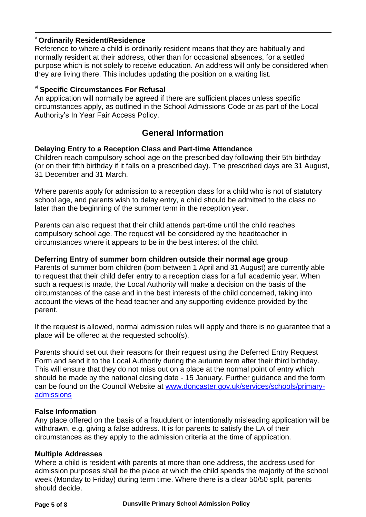#### <sup>v</sup>**Ordinarily Resident/Residence**

Reference to where a child is ordinarily resident means that they are habitually and normally resident at their address, other than for occasional absences, for a settled purpose which is not solely to receive education. An address will only be considered when they are living there. This includes updating the position on a waiting list.

### vi **Specific Circumstances For Refusal**

An application will normally be agreed if there are sufficient places unless specific circumstances apply, as outlined in the School Admissions Code or as part of the Local Authority's In Year Fair Access Policy.

# **General Information**

#### **Delaying Entry to a Reception Class and Part-time Attendance**

Children reach compulsory school age on the prescribed day following their 5th birthday (or on their fifth birthday if it falls on a prescribed day). The prescribed days are 31 August, 31 December and 31 March.

Where parents apply for admission to a reception class for a child who is not of statutory school age, and parents wish to delay entry, a child should be admitted to the class no later than the beginning of the summer term in the reception year.

Parents can also request that their child attends part-time until the child reaches compulsory school age. The request will be considered by the headteacher in circumstances where it appears to be in the best interest of the child.

#### **Deferring Entry of summer born children outside their normal age group**

Parents of summer born children (born between 1 April and 31 August) are currently able to request that their child defer entry to a reception class for a full academic year. When such a request is made, the Local Authority will make a decision on the basis of the circumstances of the case and in the best interests of the child concerned, taking into account the views of the head teacher and any supporting evidence provided by the parent.

If the request is allowed, normal admission rules will apply and there is no guarantee that a place will be offered at the requested school(s).

Parents should set out their reasons for their request using the Deferred Entry Request Form and send it to the Local Authority during the autumn term after their third birthday. This will ensure that they do not miss out on a place at the normal point of entry which should be made by the national closing date - 15 January. Further guidance and the form can be found on the Council Website at [www.doncaster.gov.uk/services/schools/primary](http://www.doncaster.gov.uk/services/schools/primary-admissions)[admissions](http://www.doncaster.gov.uk/services/schools/primary-admissions)

#### **False Information**

Any place offered on the basis of a fraudulent or intentionally misleading application will be withdrawn, e.g. giving a false address. It is for parents to satisfy the LA of their circumstances as they apply to the admission criteria at the time of application.

#### **Multiple Addresses**

Where a child is resident with parents at more than one address, the address used for admission purposes shall be the place at which the child spends the majority of the school week (Monday to Friday) during term time. Where there is a clear 50/50 split, parents should decide.